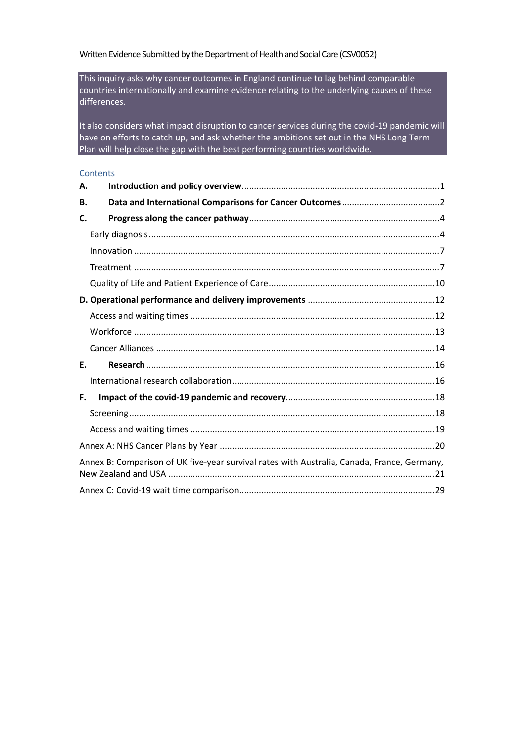### Written Evidence Submitted by the Department of Health and Social Care (CSV0052)

This inquiry asks why cancer outcomes in England continue to lag behind comparable countries internationally and examine evidence relating to the underlying causes of these differences.

It also considers what impact disruption to cancer services during the covid-19 pandemic will have on efforts to catch up, and ask whether the ambitions set out in the NHS Long Term Plan will help close the gap with the best performing countries worldwide.

#### **Contents**

| Α. |                                                                                             |
|----|---------------------------------------------------------------------------------------------|
| В. |                                                                                             |
| C. |                                                                                             |
|    |                                                                                             |
|    |                                                                                             |
|    |                                                                                             |
|    |                                                                                             |
|    |                                                                                             |
|    |                                                                                             |
|    |                                                                                             |
|    |                                                                                             |
| F. |                                                                                             |
|    |                                                                                             |
| F. |                                                                                             |
|    |                                                                                             |
|    |                                                                                             |
|    |                                                                                             |
|    | Annex B: Comparison of UK five-year survival rates with Australia, Canada, France, Germany, |
|    |                                                                                             |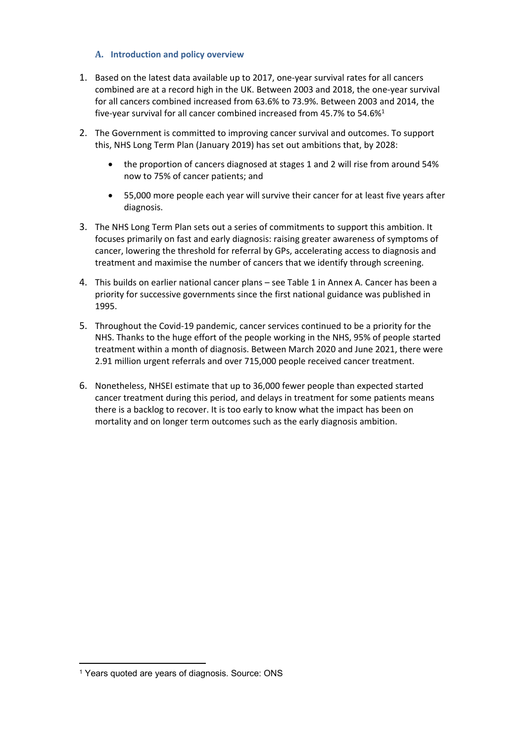## <span id="page-1-0"></span>**A. Introduction and policy overview**

- 1. Based on the latest data available up to 2017, one-year survival rates for all cancers combined are at a record high in the UK. Between 2003 and 2018, the one-year survival for all cancers combined increased from 63.6% to 73.9%. Between 2003 and 2014, the five-year survival for all cancer combined increased from 45.7% to 54.6%<sup>1</sup>
- 2. The Government is committed to improving cancer survival and outcomes. To support this, NHS Long Term Plan (January 2019) has set out ambitions that, by 2028:
	- the proportion of cancers diagnosed at stages 1 and 2 will rise from around 54% now to 75% of cancer patients; and
	- 55,000 more people each year will survive their cancer for at least five years after diagnosis.
- 3. The NHS Long Term Plan sets out a series of commitments to support this ambition. It focuses primarily on fast and early diagnosis: raising greater awareness of symptoms of cancer, lowering the threshold for referral by GPs, accelerating access to diagnosis and treatment and maximise the number of cancers that we identify through screening.
- 4. This builds on earlier national cancer plans see Table 1 in Annex A. Cancer has been a priority for successive governments since the first national guidance was published in 1995.
- 5. Throughout the Covid-19 pandemic, cancer services continued to be a priority for the NHS. Thanks to the huge effort of the people working in the NHS, 95% of people started treatment within a month of diagnosis. Between March 2020 and June 2021, there were 2.91 million urgent referrals and over 715,000 people received cancer treatment.
- 6. Nonetheless, NHSEI estimate that up to 36,000 fewer people than expected started cancer treatment during this period, and delays in treatment for some patients means there is a backlog to recover. It is too early to know what the impact has been on mortality and on longer term outcomes such as the early diagnosis ambition.

<sup>&</sup>lt;sup>1</sup> Years quoted are years of diagnosis. Source: ONS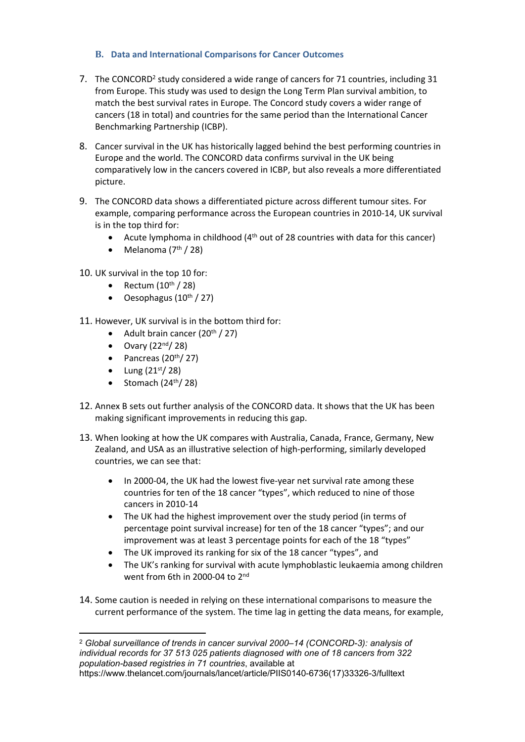## <span id="page-2-0"></span>**B. Data and International Comparisons for Cancer Outcomes**

- 7. The CONCORD<sup>2</sup> study considered a wide range of cancers for 71 countries, including 31 from Europe. This study was used to design the Long Term Plan survival ambition, to match the best survival rates in Europe. The Concord study covers a wider range of cancers (18 in total) and countries for the same period than the International Cancer Benchmarking Partnership (ICBP).
- 8. Cancer survival in the UK has historically lagged behind the best performing countries in Europe and the world. The CONCORD data confirms survival in the UK being comparatively low in the cancers covered in ICBP, but also reveals a more differentiated picture.
- 9. The CONCORD data shows a differentiated picture across different tumour sites. For example, comparing performance across the European countries in 2010-14, UK survival is in the top third for:
	- Acute lymphoma in childhood  $(4<sup>th</sup>$  out of 28 countries with data for this cancer)
	- $\bullet$  Melanoma (7<sup>th</sup> / 28)

10. UK survival in the top 10 for:

- Rectum  $(10^{\text{th}} / 28)$
- $\bullet$  Oesophagus (10<sup>th</sup> / 27)
- 11. However, UK survival is in the bottom third for:
	- Adult brain cancer  $(20<sup>th</sup> / 27)$
	- $\bullet$  Ovary (22<sup>nd</sup>/ 28)
	- Pancreas  $(20<sup>th</sup>/27)$
	- $\bullet$  Lung (21st/28)
	- $\bullet$  Stomach (24<sup>th</sup>/28)
- 12. Annex B sets out further analysis of the CONCORD data. It shows that the UK has been making significant improvements in reducing this gap.
- 13. When looking at how the UK compares with Australia, Canada, France, Germany, New Zealand, and USA as an illustrative selection of high-performing, similarly developed countries, we can see that:
	- In 2000-04, the UK had the lowest five-year net survival rate among these countries for ten of the 18 cancer "types", which reduced to nine of those cancers in 2010-14
	- The UK had the highest improvement over the study period (in terms of percentage point survival increase) for ten of the 18 cancer "types"; and our improvement was at least 3 percentage points for each of the 18 "types"
	- The UK improved its ranking for six of the 18 cancer "types", and
	- The UK's ranking for survival with acute lymphoblastic leukaemia among children went from 6th in 2000-04 to 2<sup>nd</sup>
- 14. Some caution is needed in relying on these international comparisons to measure the current performance of the system. The time lag in getting the data means, for example,

<sup>2</sup> *Global surveillance of trends in cancer survival 2000–14 (CONCORD-3): analysis of individual records for 37 513 025 patients diagnosed with one of 18 cancers from 322 population-based registries in 71 countries*, available at https://www.thelancet.com/journals/lancet/article/PIIS0140-6736(17)33326-3/fulltext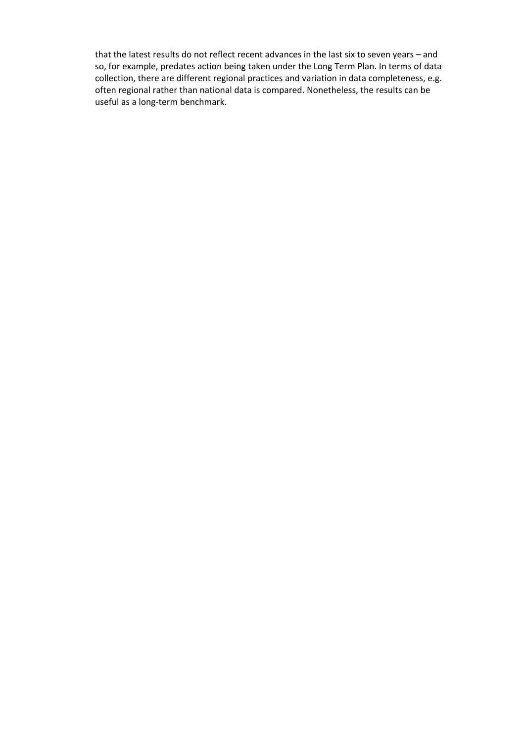that the latest results do not reflect recent advances in the last six to seven years – and so, for example, predates action being taken under the Long Term Plan. In terms of data collection, there are different regional practices and variation in data completeness, e.g. often regional rather than national data is compared. Nonetheless, the results can be useful as a long-term benchmark.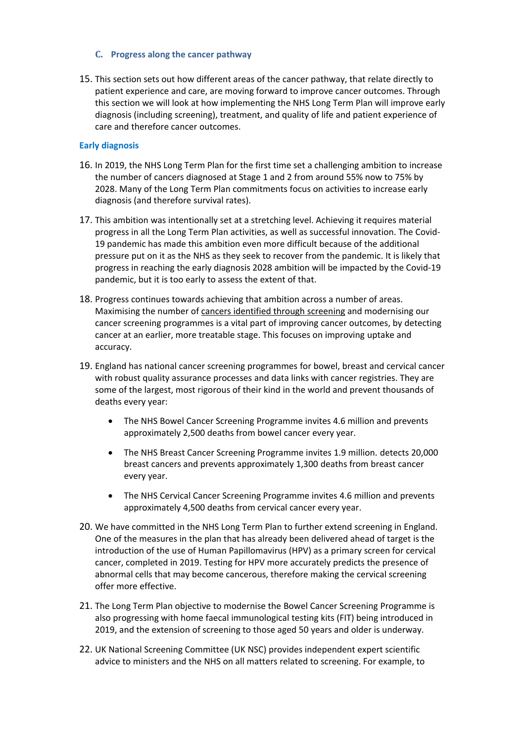### <span id="page-4-0"></span>**C. Progress along the cancer pathway**

15. This section sets out how different areas of the cancer pathway, that relate directly to patient experience and care, are moving forward to improve cancer outcomes. Through this section we will look at how implementing the NHS Long Term Plan will improve early diagnosis (including screening), treatment, and quality of life and patient experience of care and therefore cancer outcomes.

## <span id="page-4-1"></span>**Early diagnosis**

- 16. In 2019, the NHS Long Term Plan for the first time set a challenging ambition to increase the number of cancers diagnosed at Stage 1 and 2 from around 55% now to 75% by 2028. Many of the Long Term Plan commitments focus on activities to increase early diagnosis (and therefore survival rates).
- 17. This ambition was intentionally set at a stretching level. Achieving it requires material progress in all the Long Term Plan activities, as well as successful innovation. The Covid-19 pandemic has made this ambition even more difficult because of the additional pressure put on it as the NHS as they seek to recover from the pandemic. It is likely that progress in reaching the early diagnosis 2028 ambition will be impacted by the Covid-19 pandemic, but it is too early to assess the extent of that.
- 18. Progress continues towards achieving that ambition across a number of areas. Maximising the number of cancers identified through screening and modernising our cancer screening programmes is a vital part of improving cancer outcomes, by detecting cancer at an earlier, more treatable stage. This focuses on improving uptake and accuracy.
- 19. England has national cancer screening programmes for bowel, breast and cervical cancer with robust quality assurance processes and data links with cancer registries. They are some of the largest, most rigorous of their kind in the world and prevent thousands of deaths every year:
	- The NHS Bowel Cancer Screening Programme invites 4.6 million and prevents approximately 2,500 deaths from bowel cancer every year.
	- The NHS Breast Cancer Screening Programme invites 1.9 million. detects 20,000 breast cancers and prevents approximately 1,300 deaths from breast cancer every year.
	- The NHS Cervical Cancer Screening Programme invites 4.6 million and prevents approximately 4,500 deaths from cervical cancer every year.
- 20. We have committed in the NHS Long Term Plan to further extend screening in England. One of the measures in the plan that has already been delivered ahead of target is the introduction of the use of Human Papillomavirus (HPV) as a primary screen for cervical cancer, completed in 2019. Testing for HPV more accurately predicts the presence of abnormal cells that may become cancerous, therefore making the cervical screening offer more effective.
- 21. The Long Term Plan objective to modernise the Bowel Cancer Screening Programme is also progressing with home faecal immunological testing kits (FIT) being introduced in 2019, and the extension of screening to those aged 50 years and older is underway.
- 22. UK National Screening Committee ([UK](http://www.screening.nhs.uk/uknsc) [NSC\)](http://www.screening.nhs.uk/uknsc) provides independent expert scientific advice to ministers and the NHS on all matters related to screening. For example, to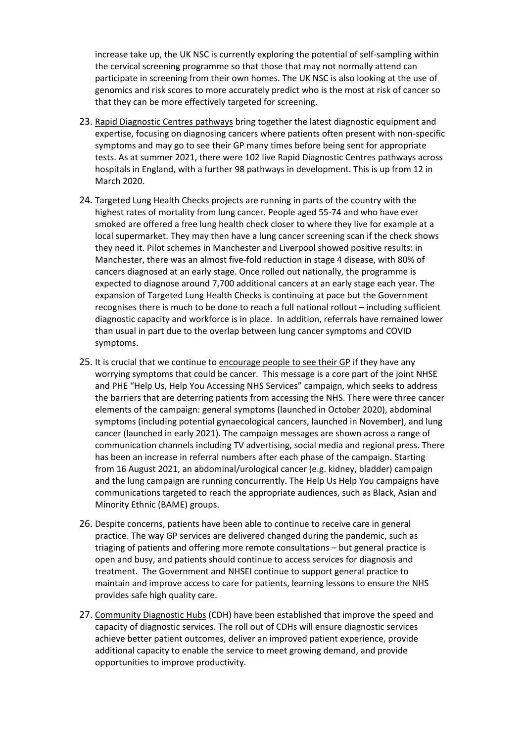increase take up, the UK NSC is currently exploring the potential of self-sampling within the cervical screening programme so that those that may not normally attend can participate in screening from their own homes. The UK NSC is also looking at the use of genomics and risk scores to more accurately predict who is the most at risk of cancer so that they can be more effectively targeted for screening.

- 23. Rapid Diagnostic Centres pathways bring together the latest diagnostic equipment and expertise, focusing on diagnosing cancers where patients often present with non-specific symptoms and may go to see their GP many times before being sent for appropriate tests. As at summer 2021, there were 102 live Rapid Diagnostic Centres pathways across hospitals in England, with a further 98 pathways in development. This is up from 12 in March 2020.
- 24. Targeted Lung Health Checks projects are running in parts of the country with the highest rates of mortality from lung cancer. People aged 55-74 and who have ever smoked are offered a free lung health check closer to where they live for example at a local supermarket. They may then have a lung cancer screening scan if the check shows they need it. Pilot schemes in Manchester and Liverpool showed positive results: in Manchester, there was an almost five-fold reduction in stage 4 disease, with 80% of cancers diagnosed at an early stage. Once rolled out nationally, the programme is expected to diagnose around 7,700 additional cancers at an early stage each year. The expansion of Targeted Lung Health Checks is continuing at pace but the Government recognises there is much to be done to reach a full national rollout – including sufficient diagnostic capacity and workforce is in place. In addition, referrals have remained lower than usual in part due to the overlap between lung cancer symptoms and COVID symptoms.
- 25. It is crucial that we continue to encourage people to see their GP if they have any worrying symptoms that could be cancer. This message is a core part of the joint NHSE and PHE "Help Us, Help You Accessing NHS Services" campaign, which seeks to address the barriers that are deterring patients from accessing the NHS. There were three cancer elements of the campaign: general symptoms (launched in October 2020), abdominal symptoms (including potential gynaecological cancers, launched in November), and lung cancer (launched in early 2021). The campaign messages are shown across a range of communication channels including TV advertising, social media and regional press. There has been an increase in referral numbers after each phase of the campaign. Starting from 16 August 2021, an abdominal/urological cancer (e.g. kidney, bladder) campaign and the lung campaign are running concurrently. The Help Us Help You campaigns have communications targeted to reach the appropriate audiences, such as Black, Asian and Minority Ethnic (BAME) groups.
- 26. Despite concerns, patients have been able to continue to receive care in general practice. The way GP services are delivered changed during the pandemic, such as triaging of patients and offering more remote consultations – but general practice is open and busy, and patients should continue to access services for diagnosis and treatment. The Government and NHSEI continue to support general practice to maintain and improve access to care for patients, learning lessons to ensure the NHS provides safe high quality care.
- 27. Community Diagnostic Hubs (CDH) have been established that improve the speed and capacity of diagnostic services. The roll out of CDHs will ensure diagnostic services achieve better patient outcomes, deliver an improved patient experience, provide additional capacity to enable the service to meet growing demand, and provide opportunities to improve productivity.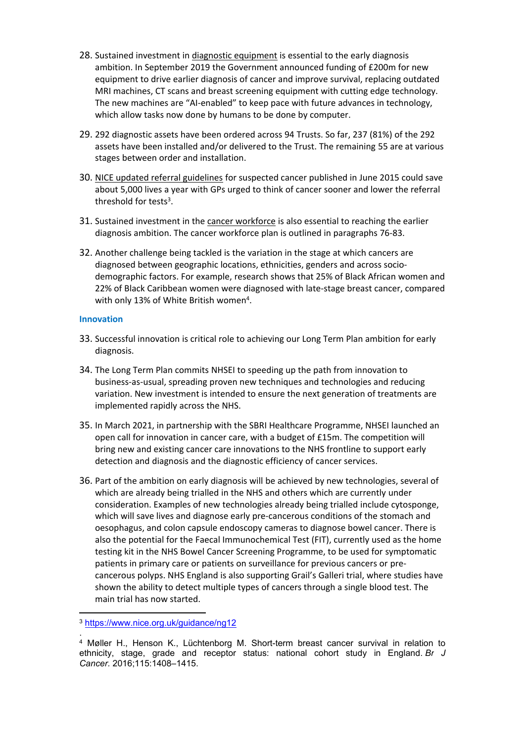- 28. Sustained investment in diagnostic equipment is essential to the early diagnosis ambition. In September 2019 the Government announced funding of £200m for new equipment to drive earlier diagnosis of cancer and improve survival, replacing outdated MRI machines, CT scans and breast screening equipment with cutting edge technology. The new machines are "AI-enabled" to keep pace with future advances in technology, which allow tasks now done by humans to be done by computer.
- 29. 292 diagnostic assets have been ordered across 94 Trusts. So far, 237 (81%) of the 292 assets have been installed and/or delivered to the Trust. The remaining 55 are at various stages between order and installation.
- 30. NICE updated referral guidelines for suspected cancer published in June 2015 could save about 5,000 lives a year with GPs urged to think of cancer sooner and lower the referral threshold for tests<sup>3</sup>.
- 31. Sustained investment in the cancer workforce is also essential to reaching the earlier diagnosis ambition. The cancer workforce plan is outlined in paragraphs 76-83.
- 32. Another challenge being tackled is the variation in the stage at which cancers are diagnosed between geographic locations, ethnicities, genders and across sociodemographic factors. For example, research shows that 25% of Black African women and 22% of Black Caribbean women were diagnosed with late-stage breast cancer, compared with only 13% of White British women<sup>4</sup>.

#### <span id="page-6-0"></span>**Innovation**

- 33. Successful innovation is critical role to achieving our Long Term Plan ambition for early diagnosis.
- 34. The Long Term Plan commits NHSEI to speeding up the path from innovation to business-as-usual, spreading proven new techniques and technologies and reducing variation. New investment is intended to ensure the next generation of treatments are implemented rapidly across the NHS.
- 35. In March 2021, in partnership with the SBRI Healthcare Programme, NHSEI launched an open call for innovation in cancer care, with a budget of £15m. The competition will bring new and existing cancer care innovations to the NHS frontline to support early detection and diagnosis and the diagnostic efficiency of cancer services.
- 36. Part of the ambition on early diagnosis will be achieved by new technologies, several of which are already being trialled in the NHS and others which are currently under consideration. Examples of new technologies already being trialled include cytosponge, which will save lives and diagnose early pre-cancerous conditions of the stomach and oesophagus, and colon capsule endoscopy cameras to diagnose bowel cancer. There is also the potential for the Faecal Immunochemical Test (FIT), currently used as the home testing kit in the NHS Bowel Cancer Screening Programme, to be used for symptomatic patients in primary care or patients on surveillance for previous cancers or precancerous polyps. NHS England is also supporting Grail's Galleri trial, where studies have shown the ability to detect multiple types of cancers through a single blood test. The main trial has now started.

<sup>3</sup> <https://www.nice.org.uk/guidance/ng12>

<sup>.</sup> <sup>4</sup> Møller H., Henson K., Lüchtenborg M. Short-term breast cancer survival in relation to ethnicity, stage, grade and receptor status: national cohort study in England. *Br J Cancer.* 2016;115:1408–1415.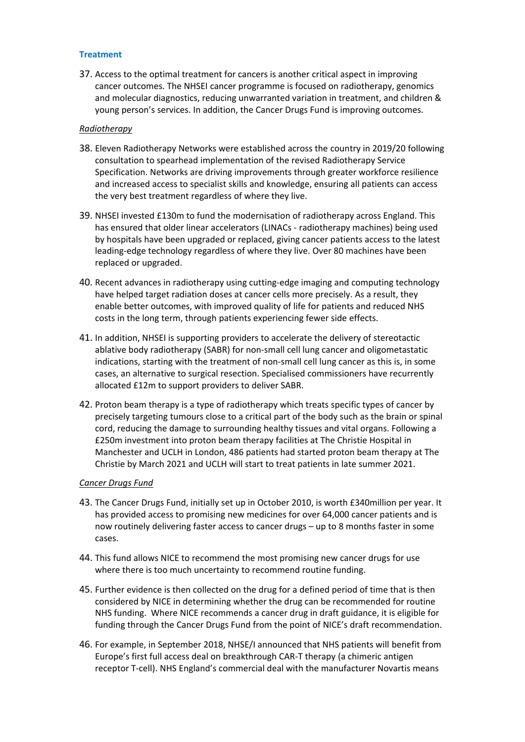#### <span id="page-7-0"></span>**Treatment**

37. Access to the optimal treatment for cancers is another critical aspect in improving cancer outcomes. The NHSEI cancer programme is focused on radiotherapy, genomics and molecular diagnostics, reducing unwarranted variation in treatment, and children & young person's services. In addition, the Cancer Drugs Fund is improving outcomes.

#### *Radiotherapy*

- 38. Eleven Radiotherapy Networks were established across the country in 2019/20 following consultation to spearhead implementation of the revised Radiotherapy Service Specification. Networks are driving improvements through greater workforce resilience and increased access to specialist skills and knowledge, ensuring all patients can access the very best treatment regardless of where they live.
- 39. NHSEI invested £130m to fund the modernisation of radiotherapy across England. This has ensured that older linear accelerators (LINACs - radiotherapy machines) being used by hospitals have been upgraded or replaced, giving cancer patients access to the latest leading-edge technology regardless of where they live. Over 80 machines have been replaced or upgraded.
- 40. Recent advances in radiotherapy using cutting-edge imaging and computing technology have helped target radiation doses at cancer cells more precisely. As a result, they enable better outcomes, with improved quality of life for patients and reduced NHS costs in the long term, through patients experiencing fewer side effects.
- 41. In addition, NHSEI is supporting providers to accelerate the delivery of stereotactic ablative body radiotherapy (SABR) for non-small cell lung cancer and oligometastatic indications, starting with the treatment of non-small cell lung cancer as this is, in some cases, an alternative to surgical resection. Specialised commissioners have recurrently allocated £12m to support providers to deliver SABR.
- 42. Proton beam therapy is a type of radiotherapy which treats specific types of cancer by precisely targeting tumours close to a critical part of the body such as the brain or spinal cord, reducing the damage to surrounding healthy tissues and vital organs. Following a £250m investment into proton beam therapy facilities at The Christie Hospital in Manchester and UCLH in London, 486 patients had started proton beam therapy at The Christie by March 2021 and UCLH will start to treat patients in late summer 2021.

#### *Cancer Drugs Fund*

- 43. The Cancer Drugs Fund, initially set up in October 2010, is worth £340million per year. It has provided access to promising new medicines for over 64,000 cancer patients and is now routinely delivering faster access to cancer drugs – up to 8 months faster in some cases.
- 44. This fund allows NICE to recommend the most promising new cancer drugs for use where there is too much uncertainty to recommend routine funding.
- 45. Further evidence is then collected on the drug for a defined period of time that is then considered by NICE in determining whether the drug can be recommended for routine NHS funding. Where NICE recommends a cancer drug in draft guidance, it is eligible for funding through the Cancer Drugs Fund from the point of NICE's draft recommendation.
- 46. For example, in September 2018, NHSE/I announced that NHS patients will benefit from Europe's first full access deal on breakthrough CAR-T therapy (a chimeric antigen receptor T-cell). NHS England's commercial deal with the manufacturer Novartis means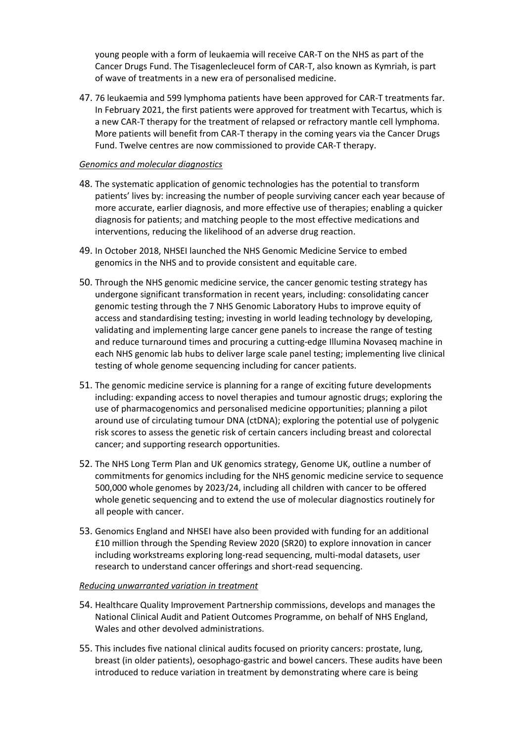young people with a form of leukaemia will receive CAR-T on the NHS as part of the Cancer Drugs Fund. The Tisagenlecleucel form of CAR-T, also known as Kymriah, is part of wave of treatments in a new era of personalised medicine.

47. 76 leukaemia and 599 lymphoma patients have been approved for CAR-T treatments far. In February 2021, the first patients were approved for treatment with Tecartus, which is a new CAR-T therapy for the treatment of relapsed or refractory mantle cell lymphoma. More patients will benefit from CAR-T therapy in the coming years via the Cancer Drugs Fund. Twelve centres are now commissioned to provide CAR-T therapy.

## *Genomics and molecular diagnostics*

- 48. The systematic application of genomic technologies has the potential to transform patients' lives by: increasing the number of people surviving cancer each year because of more accurate, earlier diagnosis, and more effective use of therapies; enabling a quicker diagnosis for patients; and matching people to the most effective medications and interventions, reducing the likelihood of an adverse drug reaction.
- 49. In October 2018, NHSEI launched the NHS Genomic Medicine Service to embed genomics in the NHS and to provide consistent and equitable care.
- 50. Through the NHS genomic medicine service, the cancer genomic testing strategy has undergone significant transformation in recent years, including: consolidating cancer genomic testing through the 7 NHS Genomic Laboratory Hubs to improve equity of access and standardising testing; investing in world leading technology by developing, validating and implementing large cancer gene panels to increase the range of testing and reduce turnaround times and procuring a cutting-edge Illumina Novaseq machine in each NHS genomic lab hubs to deliver large scale panel testing; implementing live clinical testing of whole genome sequencing including for cancer patients.
- 51. The genomic medicine service is planning for a range of exciting future developments including: expanding access to novel therapies and tumour agnostic drugs; exploring the use of pharmacogenomics and personalised medicine opportunities; planning a pilot around use of circulating tumour DNA (ctDNA); exploring the potential use of polygenic risk scores to assess the genetic risk of certain cancers including breast and colorectal cancer; and supporting research opportunities.
- 52. The NHS Long Term Plan and UK genomics strategy, Genome UK, outline a number of commitments for genomics including for the NHS genomic medicine service to sequence 500,000 whole genomes by 2023/24, including all children with cancer to be offered whole genetic sequencing and to extend the use of molecular diagnostics routinely for all people with cancer.
- 53. Genomics England and NHSEI have also been provided with funding for an additional £10 million through the Spending Review 2020 (SR20) to explore innovation in cancer including workstreams exploring long-read sequencing, multi-modal datasets, user research to understand cancer offerings and short-read sequencing.

#### *Reducing unwarranted variation in treatment*

- 54. Healthcare Quality Improvement Partnership commissions, develops and manages the National Clinical Audit and Patient Outcomes Programme, on behalf of NHS England, Wales and other devolved administrations.
- 55. This includes five national clinical audits focused on priority cancers: prostate, lung, breast (in older patients), oesophago-gastric and bowel cancers. These audits have been introduced to reduce variation in treatment by demonstrating where care is being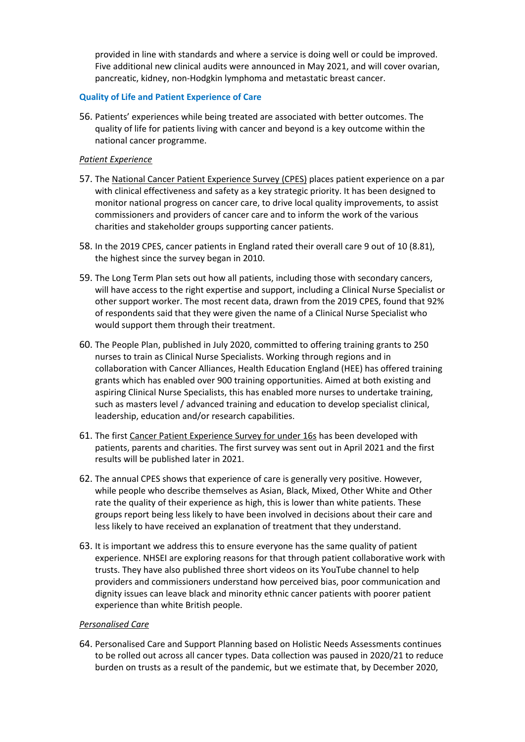provided in line with standards and where a service is doing well or could be improved. Five additional new clinical audits were announced in May 2021, and will cover ovarian, pancreatic, kidney, non-Hodgkin lymphoma and metastatic breast cancer.

### <span id="page-9-0"></span>**Quality of Life and Patient Experience of Care**

56. Patients' experiences while being treated are associated with better outcomes. The quality of life for patients living with cancer and beyond is a key outcome within the national cancer programme.

### *Patient Experience*

- 57. The National Cancer Patient Experience Survey (CPES) places patient experience on a par with clinical effectiveness and safety as a key strategic priority. It has been designed to monitor national progress on cancer care, to drive local quality improvements, to assist commissioners and providers of cancer care and to inform the work of the various charities and stakeholder groups supporting cancer patients.
- 58. In the 2019 CPES, cancer patients in England rated their overall care 9 out of 10 (8.81), the highest since the survey began in 2010.
- 59. The Long Term Plan sets out how all patients, including those with secondary cancers, will have access to the right expertise and support, including a Clinical Nurse Specialist or other support worker. The most recent data, drawn from the 2019 CPES, found that 92% of respondents said that they were given the name of a Clinical Nurse Specialist who would support them through their treatment.
- 60. The People Plan, published in July 2020, committed to offering training grants to 250 nurses to train as Clinical Nurse Specialists. Working through regions and in collaboration with Cancer Alliances, Health Education England (HEE) has offered training grants which has enabled over 900 training opportunities. Aimed at both existing and aspiring Clinical Nurse Specialists, this has enabled more nurses to undertake training, such as masters level / advanced training and education to develop specialist clinical, leadership, education and/or research capabilities.
- 61. The first Cancer Patient Experience Survey for under 16s has been developed with patients, parents and charities. The first survey was sent out in April 2021 and the first results will be published later in 2021.
- 62. The annual CPES shows that experience of care is generally very positive. However, while people who describe themselves as Asian, Black, Mixed, Other White and Other rate the quality of their experience as high, this is lower than white patients. These groups report being less likely to have been involved in decisions about their care and less likely to have received an explanation of treatment that they understand.
- 63. It is important we address this to ensure everyone has the same quality of patient experience. NHSEI are exploring reasons for that through patient collaborative work with trusts. They have also published three short videos on its YouTube channel to help providers and commissioners understand how perceived bias, poor communication and dignity issues can leave black and minority ethnic cancer patients with poorer patient experience than white British people.

#### *Personalised Care*

64. Personalised Care and Support Planning based on Holistic Needs Assessments continues to be rolled out across all cancer types. Data collection was paused in 2020/21 to reduce burden on trusts as a result of the pandemic, but we estimate that, by December 2020,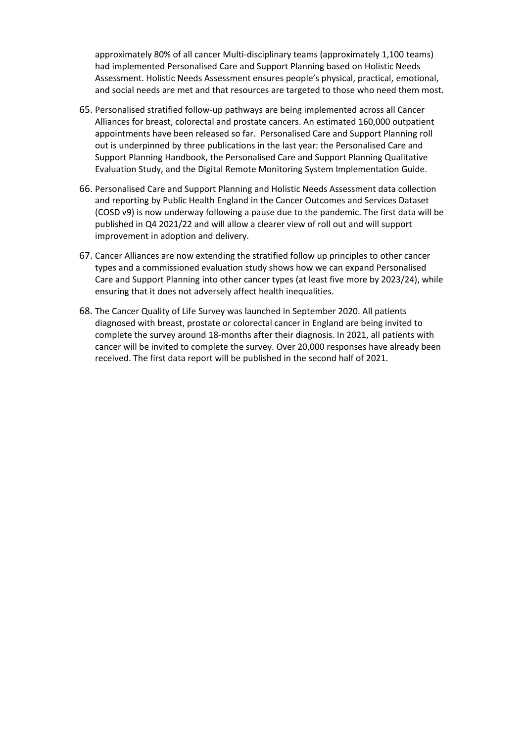approximately 80% of all cancer Multi-disciplinary teams (approximately 1,100 teams) had implemented Personalised Care and Support Planning based on Holistic Needs Assessment. Holistic Needs Assessment ensures people's physical, practical, emotional, and social needs are met and that resources are targeted to those who need them most.

- 65. Personalised stratified follow-up pathways are being implemented across all Cancer Alliances for breast, colorectal and prostate cancers. An estimated 160,000 outpatient appointments have been released so far. Personalised Care and Support Planning roll out is underpinned by three publications in the last year: the Personalised Care and Support Planning Handbook, the Personalised Care and Support Planning Qualitative Evaluation Study, and the Digital Remote Monitoring System Implementation Guide.
- 66. Personalised Care and Support Planning and Holistic Needs Assessment data collection and reporting by Public Health England in the Cancer Outcomes and Services Dataset (COSD v9) is now underway following a pause due to the pandemic. The first data will be published in Q4 2021/22 and will allow a clearer view of roll out and will support improvement in adoption and delivery.
- 67. Cancer Alliances are now extending the stratified follow up principles to other cancer types and a commissioned evaluation study shows how we can expand Personalised Care and Support Planning into other cancer types (at least five more by 2023/24), while ensuring that it does not adversely affect health inequalities.
- 68. The Cancer Quality of Life Survey was launched in September 2020. All patients diagnosed with breast, prostate or colorectal cancer in England are being invited to complete the survey around 18-months after their diagnosis. In 2021, all patients with cancer will be invited to complete the survey. Over 20,000 responses have already been received. The first data report will be published in the second half of 2021.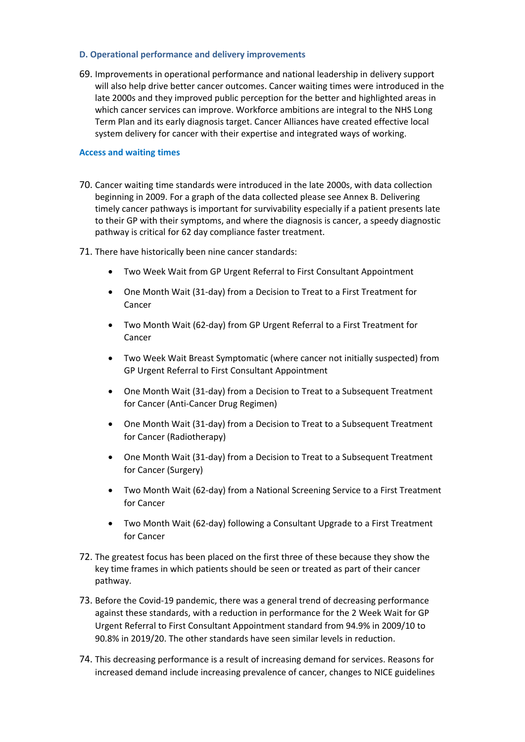#### <span id="page-11-0"></span>**D. Operational performance and delivery improvements**

69. Improvements in operational performance and national leadership in delivery support will also help drive better cancer outcomes. Cancer waiting times were introduced in the late 2000s and they improved public perception for the better and highlighted areas in which cancer services can improve. Workforce ambitions are integral to the NHS Long Term Plan and its early diagnosis target. Cancer Alliances have created effective local system delivery for cancer with their expertise and integrated ways of working.

#### <span id="page-11-1"></span>**Access and waiting times**

- 70. Cancer waiting time standards were introduced in the late 2000s, with data collection beginning in 2009. For a graph of the data collected please see Annex B. Delivering timely cancer pathways is important for survivability especially if a patient presents late to their GP with their symptoms, and where the diagnosis is cancer, a speedy diagnostic pathway is critical for 62 day compliance faster treatment.
- 71. There have historically been nine cancer standards:
	- Two Week Wait from GP Urgent Referral to First Consultant Appointment
	- One Month Wait (31-day) from a Decision to Treat to a First Treatment for Cancer
	- Two Month Wait (62-day) from GP Urgent Referral to a First Treatment for Cancer
	- Two Week Wait Breast Symptomatic (where cancer not initially suspected) from GP Urgent Referral to First Consultant Appointment
	- One Month Wait (31-day) from a Decision to Treat to a Subsequent Treatment for Cancer (Anti-Cancer Drug Regimen)
	- One Month Wait (31-day) from a Decision to Treat to a Subsequent Treatment for Cancer (Radiotherapy)
	- One Month Wait (31-day) from a Decision to Treat to a Subsequent Treatment for Cancer (Surgery)
	- Two Month Wait (62-day) from a National Screening Service to a First Treatment for Cancer
	- Two Month Wait (62-day) following a Consultant Upgrade to a First Treatment for Cancer
- 72. The greatest focus has been placed on the first three of these because they show the key time frames in which patients should be seen or treated as part of their cancer pathway.
- 73. Before the Covid-19 pandemic, there was a general trend of decreasing performance against these standards, with a reduction in performance for the 2 Week Wait for GP Urgent Referral to First Consultant Appointment standard from 94.9% in 2009/10 to 90.8% in 2019/20. The other standards have seen similar levels in reduction.
- 74. This decreasing performance is a result of increasing demand for services. Reasons for increased demand include increasing prevalence of cancer, changes to NICE guidelines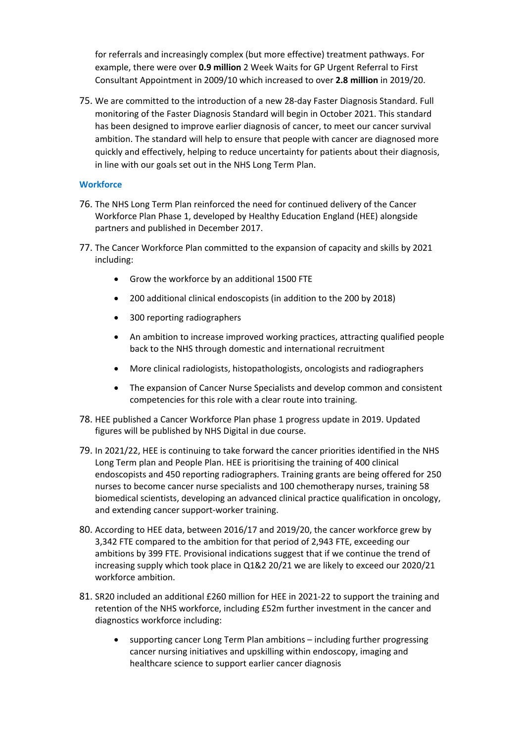for referrals and increasingly complex (but more effective) treatment pathways. For example, there were over **0.9 million** 2 Week Waits for GP Urgent Referral to First Consultant Appointment in 2009/10 which increased to over **2.8 million** in 2019/20.

75. We are committed to the introduction of a new 28-day Faster Diagnosis Standard. Full monitoring of the Faster Diagnosis Standard will begin in October 2021. This standard has been designed to improve earlier diagnosis of cancer, to meet our cancer survival ambition. The standard will help to ensure that people with cancer are diagnosed more quickly and effectively, helping to reduce uncertainty for patients about their diagnosis, in line with our goals set out in the NHS Long Term Plan.

#### <span id="page-12-0"></span>**Workforce**

- 76. The NHS Long Term Plan reinforced the need for continued delivery of the Cancer Workforce Plan Phase 1, developed by Healthy Education England (HEE) alongside partners and published in December 2017.
- 77. The Cancer Workforce Plan committed to the expansion of capacity and skills by 2021 including:
	- Grow the workforce by an additional 1500 FTE
	- 200 additional clinical endoscopists (in addition to the 200 by 2018)
	- 300 reporting radiographers
	- An ambition to increase improved working practices, attracting qualified people back to the NHS through domestic and international recruitment
	- More clinical radiologists, histopathologists, oncologists and radiographers
	- The expansion of Cancer Nurse Specialists and develop common and consistent competencies for this role with a clear route into training.
- 78. HEE published a Cancer Workforce Plan phase 1 progress update in 2019. Updated figures will be published by NHS Digital in due course.
- 79. In 2021/22, HEE is continuing to take forward the cancer priorities identified in the NHS Long Term plan and People Plan. HEE is prioritising the training of 400 clinical endoscopists and 450 reporting radiographers. Training grants are being offered for 250 nurses to become cancer nurse specialists and 100 chemotherapy nurses, training 58 biomedical scientists, developing an advanced clinical practice qualification in oncology, and extending cancer support-worker training.
- 80. According to HEE data, between 2016/17 and 2019/20, the cancer workforce grew by 3,342 FTE compared to the ambition for that period of 2,943 FTE, exceeding our ambitions by 399 FTE. Provisional indications suggest that if we continue the trend of increasing supply which took place in Q1&2 20/21 we are likely to exceed our 2020/21 workforce ambition.
- 81. SR20 included an additional £260 million for HEE in 2021-22 to support the training and retention of the NHS workforce, including £52m further investment in the cancer and diagnostics workforce including:
	- supporting cancer Long Term Plan ambitions including further progressing cancer nursing initiatives and upskilling within endoscopy, imaging and healthcare science to support earlier cancer diagnosis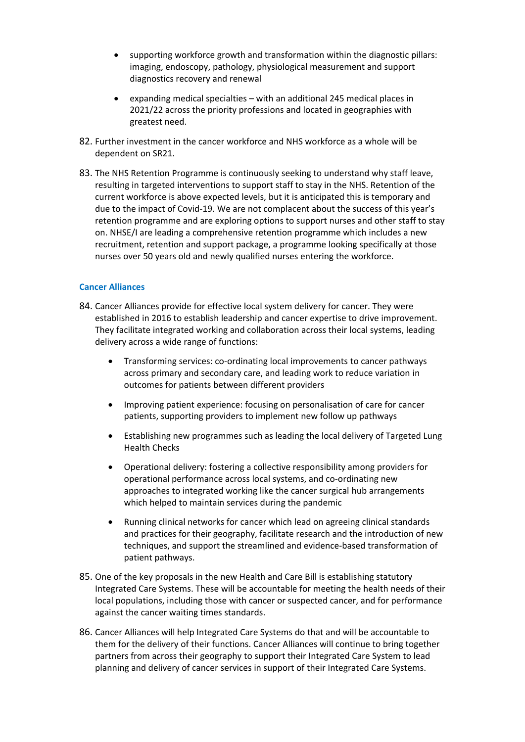- supporting workforce growth and transformation within the diagnostic pillars: imaging, endoscopy, pathology, physiological measurement and support diagnostics recovery and renewal
- expanding medical specialties with an additional 245 medical places in 2021/22 across the priority professions and located in geographies with greatest need.
- 82. Further investment in the cancer workforce and NHS workforce as a whole will be dependent on SR21.
- 83. The NHS Retention Programme is continuously seeking to understand why staff leave, resulting in targeted interventions to support staff to stay in the NHS. Retention of the current workforce is above expected levels, but it is anticipated this is temporary and due to the impact of Covid-19. We are not complacent about the success of this year's retention programme and are exploring options to support nurses and other staff to stay on. NHSE/I are leading a comprehensive retention programme which includes a new recruitment, retention and support package, a programme looking specifically at those nurses over 50 years old and newly qualified nurses entering the workforce.

#### <span id="page-13-0"></span>**Cancer Alliances**

- 84. Cancer Alliances provide for effective local system delivery for cancer. They were established in 2016 to establish leadership and cancer expertise to drive improvement. They facilitate integrated working and collaboration across their local systems, leading delivery across a wide range of functions:
	- Transforming services: co-ordinating local improvements to cancer pathways across primary and secondary care, and leading work to reduce variation in outcomes for patients between different providers
	- Improving patient experience: focusing on personalisation of care for cancer patients, supporting providers to implement new follow up pathways
	- Establishing new programmes such as leading the local delivery of Targeted Lung Health Checks
	- Operational delivery: fostering a collective responsibility among providers for operational performance across local systems, and co-ordinating new approaches to integrated working like the cancer surgical hub arrangements which helped to maintain services during the pandemic
	- Running clinical networks for cancer which lead on agreeing clinical standards and practices for their geography, facilitate research and the introduction of new techniques, and support the streamlined and evidence-based transformation of patient pathways.
- 85. One of the key proposals in the new Health and Care Bill is establishing statutory Integrated Care Systems. These will be accountable for meeting the health needs of their local populations, including those with cancer or suspected cancer, and for performance against the cancer waiting times standards.
- 86. Cancer Alliances will help Integrated Care Systems do that and will be accountable to them for the delivery of their functions. Cancer Alliances will continue to bring together partners from across their geography to support their Integrated Care System to lead planning and delivery of cancer services in support of their Integrated Care Systems.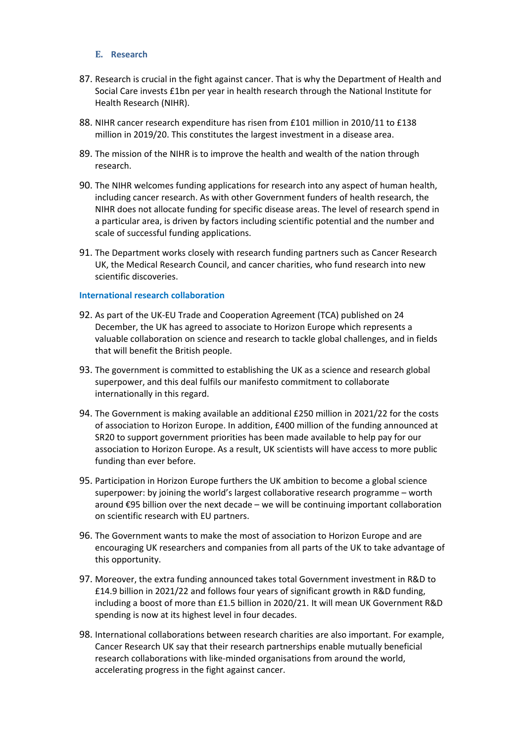#### <span id="page-15-0"></span>**E. Research**

- 87. Research is crucial in the fight against cancer. That is why the Department of Health and Social Care invests £1bn per year in health research through the National Institute for Health Research (NIHR).
- 88. NIHR cancer research expenditure has risen from £101 million in 2010/11 to £138 million in 2019/20. This constitutes the largest investment in a disease area.
- 89. The mission of the NIHR is to improve the health and wealth of the nation through research.
- 90. The NIHR welcomes funding applications for research into any aspect of human health, including cancer research. As with other Government funders of health research, the NIHR does not allocate funding for specific disease areas. The level of research spend in a particular area, is driven by factors including scientific potential and the number and scale of successful funding applications.
- 91. The Department works closely with research funding partners such as Cancer Research UK, the Medical Research Council, and cancer charities, who fund research into new scientific discoveries.

#### <span id="page-15-1"></span>**International research collaboration**

- 92. As part of the UK-EU Trade and Cooperation Agreement (TCA) published on 24 December, the UK has agreed to associate to Horizon Europe which represents a valuable collaboration on science and research to tackle global challenges, and in fields that will benefit the British people.
- 93. The government is committed to establishing the UK as a science and research global superpower, and this deal fulfils our manifesto commitment to collaborate internationally in this regard.
- 94. The Government is making available an additional £250 million in 2021/22 for the costs of association to Horizon Europe. In addition, £400 million of the funding announced at SR20 to support government priorities has been made available to help pay for our association to Horizon Europe. As a result, UK scientists will have access to more public funding than ever before.
- 95. Participation in Horizon Europe furthers the UK ambition to become a global science superpower: by joining the world's largest collaborative research programme – worth around €95 billion over the next decade – we will be continuing important collaboration on scientific research with EU partners.
- 96. The Government wants to make the most of association to Horizon Europe and are encouraging UK researchers and companies from all parts of the UK to take advantage of this opportunity.
- 97. Moreover, the extra funding announced takes total Government investment in R&D to £14.9 billion in 2021/22 and follows four years of significant growth in R&D funding, including a boost of more than £1.5 billion in 2020/21. It will mean UK Government R&D spending is now at its highest level in four decades.
- 98. International collaborations between research charities are also important. For example, Cancer Research UK say that their research partnerships enable mutually beneficial research collaborations with like-minded organisations from around the world, accelerating progress in the fight against cancer.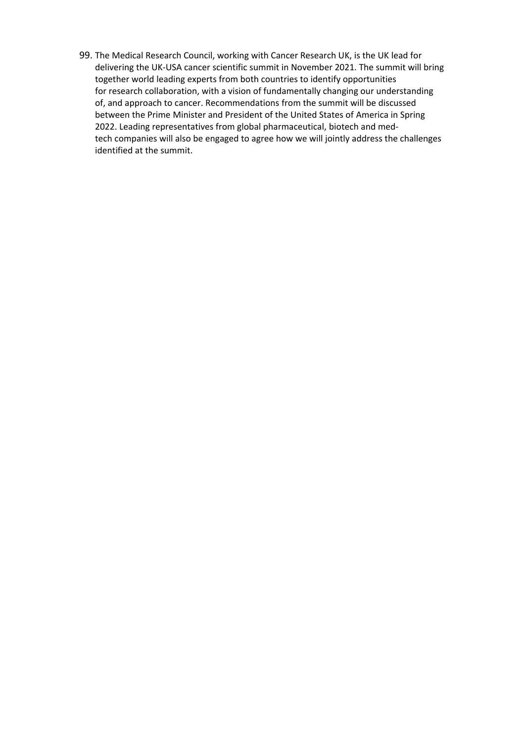99. The Medical Research Council, working with Cancer Research UK, is the UK lead for delivering the UK-USA cancer scientific summit in November 2021. The summit will bring together world leading experts from both countries to identify opportunities for research collaboration, with a vision of fundamentally changing our understanding of, and approach to cancer. Recommendations from the summit will be discussed between the Prime Minister and President of the United States of America in Spring 2022. Leading representatives from global pharmaceutical, biotech and medtech companies will also be engaged to agree how we will jointly address the challenges identified at the summit.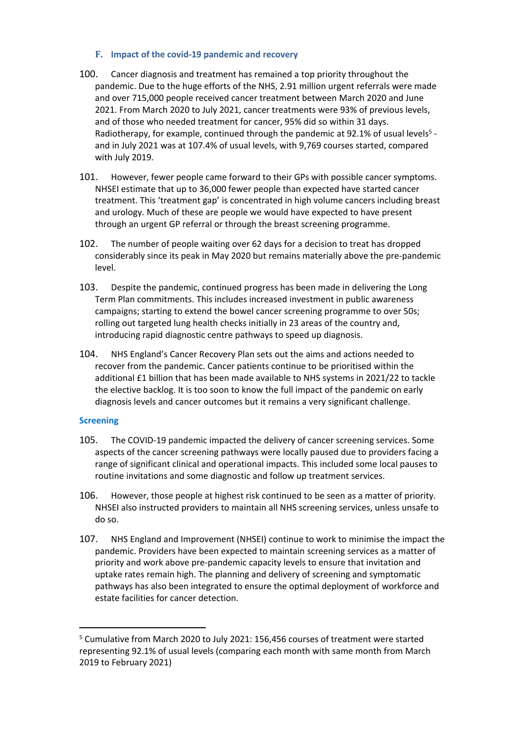### <span id="page-17-0"></span>**F. Impact of the covid-19 pandemic and recovery**

- 100. Cancer diagnosis and treatment has remained a top priority throughout the pandemic. Due to the huge efforts of the NHS, 2.91 million urgent referrals were made and over 715,000 people received cancer treatment between March 2020 and June 2021. From March 2020 to July 2021, cancer treatments were 93% of previous levels, and of those who needed treatment for cancer, 95% did so within 31 days. Radiotherapy, for example, continued through the pandemic at 92.1% of usual levels<sup>5</sup> and in July 2021 was at 107.4% of usual levels, with 9,769 courses started, compared with July 2019.
- 101. However, fewer people came forward to their GPs with possible cancer symptoms. NHSEI estimate that up to 36,000 fewer people than expected have started cancer treatment. This 'treatment gap' is concentrated in high volume cancers including breast and urology. Much of these are people we would have expected to have present through an urgent GP referral or through the breast screening programme.
- 102. The number of people waiting over 62 days for a decision to treat has dropped considerably since its peak in May 2020 but remains materially above the pre-pandemic level.
- 103. Despite the pandemic, continued progress has been made in delivering the Long Term Plan commitments. This includes increased investment in public awareness campaigns; starting to extend the bowel cancer screening programme to over 50s; rolling out targeted lung health checks initially in 23 areas of the country and, introducing rapid diagnostic centre pathways to speed up diagnosis.
- 104. NHS England's Cancer Recovery Plan sets out the aims and actions needed to recover from the pandemic. Cancer patients continue to be prioritised within the additional £1 billion that has been made available to NHS systems in 2021/22 to tackle the elective backlog. It is too soon to know the full impact of the pandemic on early diagnosis levels and cancer outcomes but it remains a very significant challenge.

## <span id="page-17-1"></span>**Screening**

- 105. The COVID-19 pandemic impacted the delivery of cancer screening services. Some aspects of the cancer screening pathways were locally paused due to providers facing a range of significant clinical and operational impacts. This included some local pauses to routine invitations and some diagnostic and follow up treatment services.
- 106. However, those people at highest risk continued to be seen as a matter of priority. NHSEI also instructed providers to maintain all NHS screening services, unless unsafe to do so.
- 107. NHS England and Improvement (NHSEI) continue to work to minimise the impact the pandemic. Providers have been expected to maintain screening services as a matter of priority and work above pre-pandemic capacity levels to ensure that invitation and uptake rates remain high. The planning and delivery of screening and symptomatic pathways has also been integrated to ensure the optimal deployment of workforce and estate facilities for cancer detection.

<sup>5</sup> Cumulative from March 2020 to July 2021: 156,456 courses of treatment were started representing 92.1% of usual levels (comparing each month with same month from March 2019 to February 2021)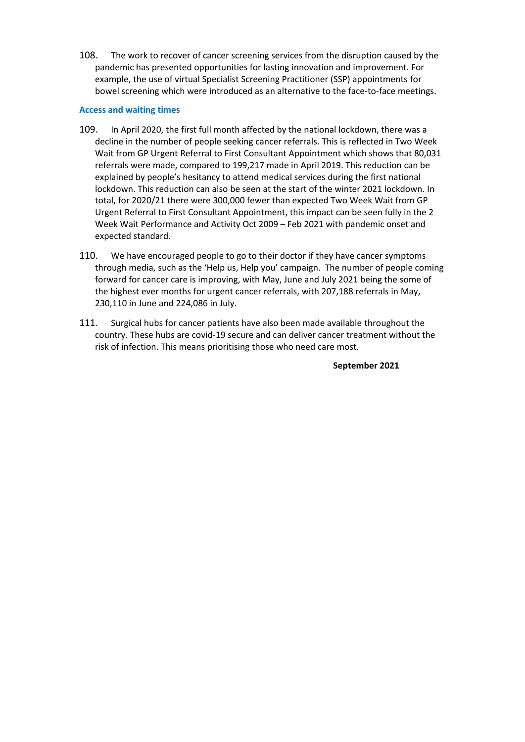108. The work to recover of cancer screening services from the disruption caused by the pandemic has presented opportunities for lasting innovation and improvement. For example, the use of virtual Specialist Screening Practitioner (SSP) appointments for bowel screening which were introduced as an alternative to the face-to-face meetings.

### <span id="page-18-0"></span>**Access and waiting times**

- 109. In April 2020, the first full month affected by the national lockdown, there was a decline in the number of people seeking cancer referrals. This is reflected in Two Week Wait from GP Urgent Referral to First Consultant Appointment which shows that 80,031 referrals were made, compared to 199,217 made in April 2019. This reduction can be explained by people's hesitancy to attend medical services during the first national lockdown. This reduction can also be seen at the start of the winter 2021 lockdown. In total, for 2020/21 there were 300,000 fewer than expected Two Week Wait from GP Urgent Referral to First Consultant Appointment, this impact can be seen fully in the 2 Week Wait Performance and Activity Oct 2009 – Feb 2021 with pandemic onset and expected standard.
- 110. We have encouraged people to go to their doctor if they have cancer symptoms through media, such as the 'Help us, Help you' campaign. The number of people coming forward for cancer care is improving, with May, June and July 2021 being the some of the highest ever months for urgent cancer referrals, with 207,188 referrals in May, 230,110 in June and 224,086 in July.
- 111. Surgical hubs for cancer patients have also been made available throughout the country. These hubs are covid-19 secure and can deliver cancer treatment without the risk of infection. This means prioritising those who need care most.

**September 2021**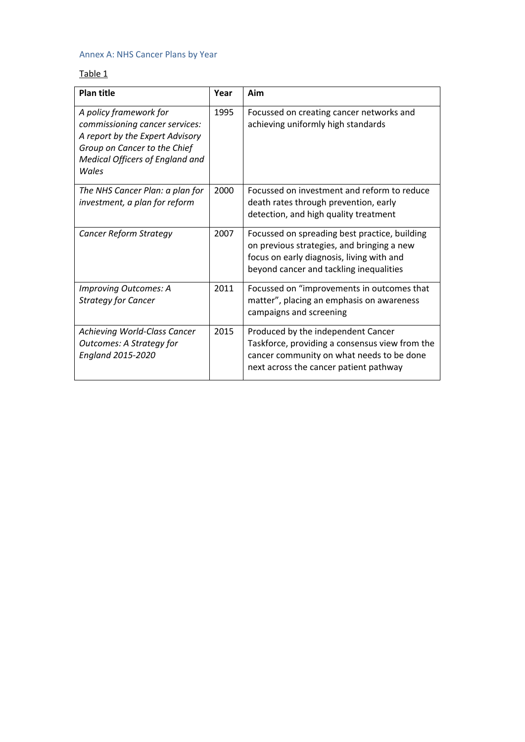# <span id="page-19-0"></span>Annex A: NHS Cancer Plans by Year

# Table 1

| <b>Plan title</b>                                                                                                                                                       | Year | Aim                                                                                                                                                                                 |
|-------------------------------------------------------------------------------------------------------------------------------------------------------------------------|------|-------------------------------------------------------------------------------------------------------------------------------------------------------------------------------------|
| A policy framework for<br>commissioning cancer services:<br>A report by the Expert Advisory<br>Group on Cancer to the Chief<br>Medical Officers of England and<br>Wales | 1995 | Focussed on creating cancer networks and<br>achieving uniformly high standards                                                                                                      |
| The NHS Cancer Plan: a plan for<br>investment, a plan for reform                                                                                                        | 2000 | Focussed on investment and reform to reduce<br>death rates through prevention, early<br>detection, and high quality treatment                                                       |
| <b>Cancer Reform Strategy</b>                                                                                                                                           | 2007 | Focussed on spreading best practice, building<br>on previous strategies, and bringing a new<br>focus on early diagnosis, living with and<br>beyond cancer and tackling inequalities |
| Improving Outcomes: A<br><b>Strategy for Cancer</b>                                                                                                                     | 2011 | Focussed on "improvements in outcomes that<br>matter", placing an emphasis on awareness<br>campaigns and screening                                                                  |
| Achieving World-Class Cancer<br><b>Outcomes: A Strategy for</b><br><b>England 2015-2020</b>                                                                             | 2015 | Produced by the independent Cancer<br>Taskforce, providing a consensus view from the<br>cancer community on what needs to be done<br>next across the cancer patient pathway         |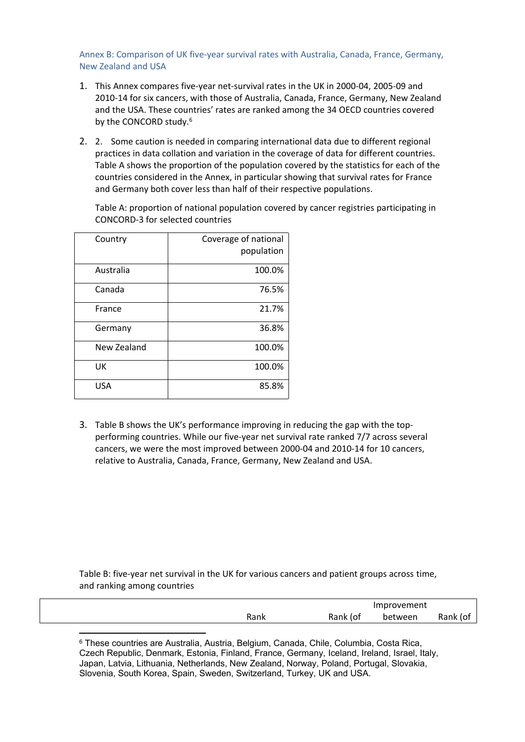<span id="page-20-0"></span>Annex B: Comparison of UK five-year survival rates with Australia, Canada, France, Germany, New Zealand and USA

- 1. This Annex compares five-year net-survival rates in the UK in 2000-04, 2005-09 and 2010-14 for six cancers, with those of Australia, Canada, France, Germany, New Zealand and the USA. These countries' rates are ranked among the 34 OECD countries covered by the CONCORD study.<sup>6</sup>
- 2. 2. Some caution is needed in comparing international data due to different regional practices in data collation and variation in the coverage of data for different countries. Table A shows the proportion of the population covered by the statistics for each of the countries considered in the Annex, in particular showing that survival rates for France and Germany both cover less than half of their respective populations.

Table A: proportion of national population covered by cancer registries participating in CONCORD-3 for selected countries

| Country     | Coverage of national<br>population |
|-------------|------------------------------------|
| Australia   | 100.0%                             |
| Canada      | 76.5%                              |
| France      | 21.7%                              |
| Germany     | 36.8%                              |
| New Zealand | 100.0%                             |
| UK          | 100.0%                             |
| <b>USA</b>  | 85.8%                              |

3. Table B shows the UK's performance improving in reducing the gap with the topperforming countries. While our five-year net survival rate ranked 7/7 across several cancers, we were the most improved between 2000-04 and 2010-14 for 10 cancers, relative to Australia, Canada, France, Germany, New Zealand and USA.

Table B: five-year net survival in the UK for various cancers and patient groups across time, and ranking among countries

|      |          | Improvement |          |
|------|----------|-------------|----------|
| Rank | Rank (of | between     | Rank (of |
|      |          |             |          |

<sup>6</sup> These countries are Australia, Austria, Belgium, Canada, Chile, Columbia, Costa Rica, Czech Republic, Denmark, Estonia, Finland, France, Germany, Iceland, Ireland, Israel, Italy, Japan, Latvia, Lithuania, Netherlands, New Zealand, Norway, Poland, Portugal, Slovakia, Slovenia, South Korea, Spain, Sweden, Switzerland, Turkey, UK and USA.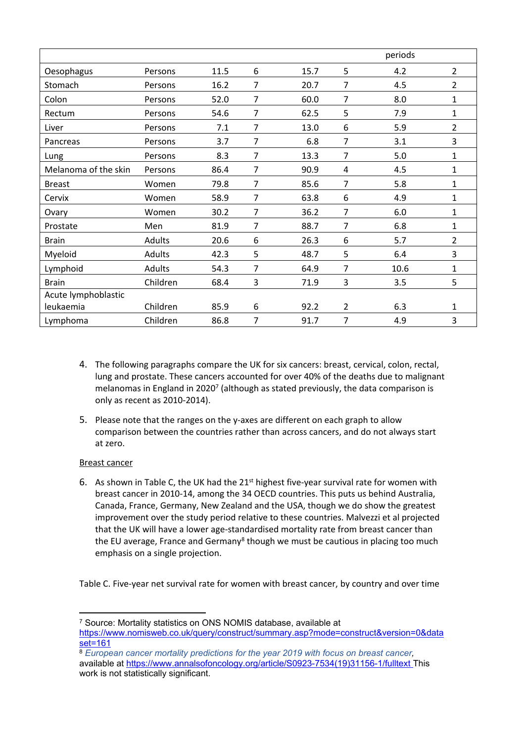|                      |          |      |                |      |                | periods |                |
|----------------------|----------|------|----------------|------|----------------|---------|----------------|
| Oesophagus           | Persons  | 11.5 | 6              | 15.7 | 5              | 4.2     | $\overline{2}$ |
| Stomach              | Persons  | 16.2 | $\overline{7}$ | 20.7 | 7              | 4.5     | $\overline{2}$ |
| Colon                | Persons  | 52.0 | 7              | 60.0 | 7              | 8.0     | $\mathbf{1}$   |
| Rectum               | Persons  | 54.6 | $\overline{7}$ | 62.5 | 5              | 7.9     | $\mathbf{1}$   |
| Liver                | Persons  | 7.1  | $\overline{7}$ | 13.0 | 6              | 5.9     | $\overline{2}$ |
| Pancreas             | Persons  | 3.7  | $\overline{7}$ | 6.8  | 7              | 3.1     | 3              |
| Lung                 | Persons  | 8.3  | $\overline{7}$ | 13.3 | 7              | 5.0     | $\mathbf{1}$   |
| Melanoma of the skin | Persons  | 86.4 | $\overline{7}$ | 90.9 | 4              | 4.5     | $\mathbf{1}$   |
| <b>Breast</b>        | Women    | 79.8 | $\overline{7}$ | 85.6 | 7              | 5.8     | $\mathbf{1}$   |
| Cervix               | Women    | 58.9 | $\overline{7}$ | 63.8 | 6              | 4.9     | $\mathbf{1}$   |
| Ovary                | Women    | 30.2 | $\overline{7}$ | 36.2 | 7              | 6.0     | $\mathbf{1}$   |
| Prostate             | Men      | 81.9 | $\overline{7}$ | 88.7 | 7              | 6.8     | $\mathbf{1}$   |
| <b>Brain</b>         | Adults   | 20.6 | 6              | 26.3 | 6              | 5.7     | $\overline{2}$ |
| Myeloid              | Adults   | 42.3 | 5              | 48.7 | 5              | 6.4     | 3              |
| Lymphoid             | Adults   | 54.3 | $\overline{7}$ | 64.9 | 7              | 10.6    | $\mathbf{1}$   |
| <b>Brain</b>         | Children | 68.4 | 3              | 71.9 | 3              | 3.5     | 5              |
| Acute lymphoblastic  |          |      |                |      |                |         |                |
| leukaemia            | Children | 85.9 | 6              | 92.2 | $\overline{2}$ | 6.3     | 1              |
| Lymphoma             | Children | 86.8 | 7              | 91.7 | 7              | 4.9     | 3              |

- 4. The following paragraphs compare the UK for six cancers: breast, cervical, colon, rectal, lung and prostate. These cancers accounted for over 40% of the deaths due to malignant melanomas in England in 2020<sup>7</sup> (although as stated previously, the data comparison is only as recent as 2010-2014).
- 5. Please note that the ranges on the y-axes are different on each graph to allow comparison between the countries rather than across cancers, and do not always start at zero.

## Breast cancer

6. As shown in Table C, the UK had the  $21<sup>st</sup>$  highest five-year survival rate for women with breast cancer in 2010-14, among the 34 OECD countries. This puts us behind Australia, Canada, France, Germany, New Zealand and the USA, though we do show the greatest improvement over the study period relative to these countries. Malvezzi et al projected that the UK will have a lower age-standardised mortality rate from breast cancer than the EU average, France and Germany<sup>8</sup> though we must be cautious in placing too much emphasis on a single projection.

Table C. Five-year net survival rate for women with breast cancer, by country and over time

<sup>7</sup> Source: Mortality statistics on ONS NOMIS database, available at [https://www.nomisweb.co.uk/query/construct/summary.asp?mode=construct&version=0&data](https://www.nomisweb.co.uk/query/construct/summary.asp?mode=construct&version=0&dataset=161) [set=161](https://www.nomisweb.co.uk/query/construct/summary.asp?mode=construct&version=0&dataset=161)

<sup>8</sup> *European cancer mortality predictions for the year 2019 with focus on breast cancer,* available at [https://www.annalsofoncology.org/article/S0923-7534\(19\)31156-1/fulltext](https://www.annalsofoncology.org/article/S0923-7534(19)31156-1/fulltext) This work is not statistically significant.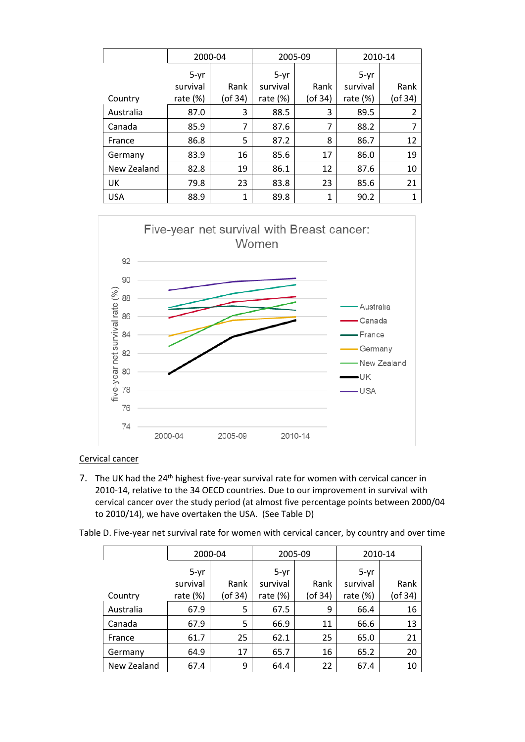|             | 2000-04     |               | 2005-09     |               | 2010-14     |         |
|-------------|-------------|---------------|-------------|---------------|-------------|---------|
|             | $5-yr$      |               | $5-yr$      |               | $5-yr$      |         |
|             | survival    | Rank          | survival    | Rank          | survival    | Rank    |
| Country     | rate $(\%)$ | $($ of 34 $)$ | rate $(\%)$ | $($ of 34 $)$ | rate $(\%)$ | (of 34) |
| Australia   | 87.0        | 3             | 88.5        | 3             | 89.5        | 2       |
| Canada      | 85.9        | 7             | 87.6        | 7             | 88.2        | 7       |
| France      | 86.8        | 5             | 87.2        | 8             | 86.7        | 12      |
| Germany     | 83.9        | 16            | 85.6        | 17            | 86.0        | 19      |
| New Zealand | 82.8        | 19            | 86.1        | 12            | 87.6        | 10      |
| UK          | 79.8        | 23            | 83.8        | 23            | 85.6        | 21      |
| <b>USA</b>  | 88.9        | 1             | 89.8        | 1             | 90.2        | 1       |



## Cervical cancer

7. The UK had the 24<sup>th</sup> highest five-year survival rate for women with cervical cancer in 2010-14, relative to the 34 OECD countries. Due to our improvement in survival with cervical cancer over the study period (at almost five percentage points between 2000/04 to 2010/14), we have overtaken the USA. (See Table D)

Table D. Five-year net survival rate for women with cervical cancer, by country and over time

|             | 2000-04    |         | 2005-09     |               | 2010-14     |         |
|-------------|------------|---------|-------------|---------------|-------------|---------|
|             | $5-yr$     |         | 5-yr        |               | 5-yr        |         |
|             | survival   | Rank    | survival    | Rank          | survival    | Rank    |
| Country     | rate $(%)$ | (of 34) | rate $(\%)$ | $($ of 34 $)$ | rate $(\%)$ | (of 34) |
| Australia   | 67.9       | 5       | 67.5        | 9             | 66.4        | 16      |
| Canada      | 67.9       | 5       | 66.9        | 11            | 66.6        | 13      |
| France      | 61.7       | 25      | 62.1        | 25            | 65.0        | 21      |
| Germany     | 64.9       | 17      | 65.7        | 16            | 65.2        | 20      |
| New Zealand | 67.4       | 9       | 64.4        | 22            | 67.4        | 10      |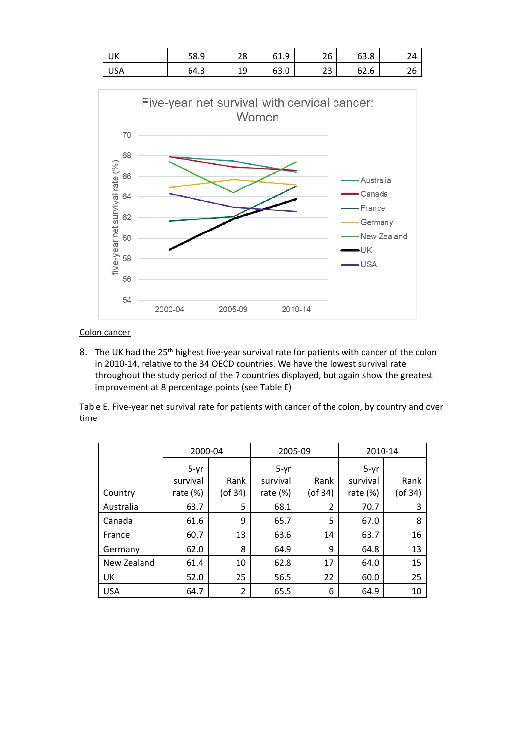

## Colon cancer

8. The UK had the 25<sup>th</sup> highest five-year survival rate for patients with cancer of the colon in 2010-14, relative to the 34 OECD countries. We have the lowest survival rate throughout the study period of the 7 countries displayed, but again show the greatest improvement at 8 percentage points (see Table E)

Table E. Five-year net survival rate for patients with cancer of the colon, by country and over time

|             | 2000-04     |               | 2005-09     |               | 2010-14     |               |
|-------------|-------------|---------------|-------------|---------------|-------------|---------------|
|             | 5-yr        |               | $5-yr$      |               | $5-yr$      |               |
|             | survival    | Rank          | survival    | Rank          | survival    | Rank          |
| Country     | rate $(\%)$ | $($ of 34 $)$ | rate $(\%)$ | $($ of 34 $)$ | rate $(\%)$ | $($ of 34 $)$ |
| Australia   | 63.7        | 5             | 68.1        | 2             | 70.7        | 3             |
| Canada      | 61.6        | 9             | 65.7        | 5             | 67.0        | 8             |
| France      | 60.7        | 13            | 63.6        | 14            | 63.7        | 16            |
| Germany     | 62.0        | 8             | 64.9        | 9             | 64.8        | 13            |
| New Zealand | 61.4        | 10            | 62.8        | 17            | 64.0        | 15            |
| UK          | 52.0        | 25            | 56.5        | 22            | 60.0        | 25            |
| <b>USA</b>  | 64.7        | 2             | 65.5        | 6             | 64.9        | 10            |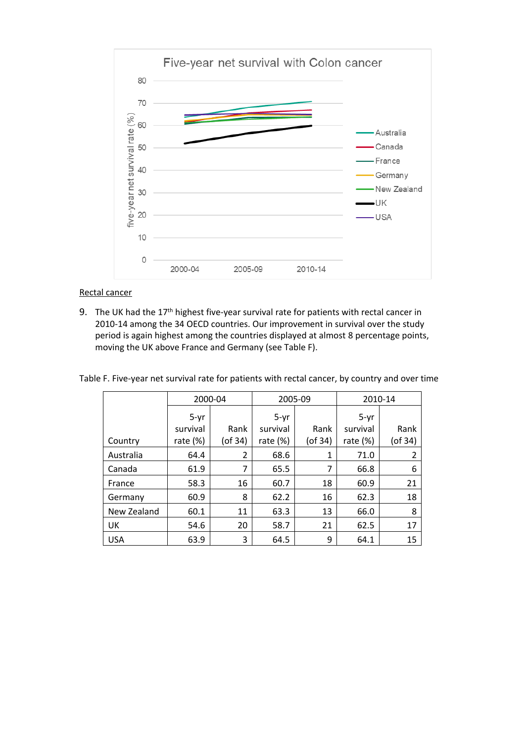

#### Rectal cancer

9. The UK had the 17<sup>th</sup> highest five-year survival rate for patients with rectal cancer in 2010-14 among the 34 OECD countries. Our improvement in survival over the study period is again highest among the countries displayed at almost 8 percentage points, moving the UK above France and Germany (see Table F).

|             | 2000-04    |                |            | 2005-09       |             | 2010-14        |  |
|-------------|------------|----------------|------------|---------------|-------------|----------------|--|
|             | $5-yr$     |                | $5-yr$     |               | $5-yr$      |                |  |
|             | survival   | Rank           | survival   | Rank          | survival    | Rank           |  |
| Country     | rate $(%)$ | $($ of 34 $)$  | rate $(%)$ | $($ of 34 $)$ | rate $(\%)$ | $($ of 34 $)$  |  |
| Australia   | 64.4       | $\overline{2}$ | 68.6       | 1             | 71.0        | $\overline{2}$ |  |
| Canada      | 61.9       | 7              | 65.5       | 7             | 66.8        | 6              |  |
| France      | 58.3       | 16             | 60.7       | 18            | 60.9        | 21             |  |
| Germany     | 60.9       | 8              | 62.2       | 16            | 62.3        | 18             |  |
| New Zealand | 60.1       | 11             | 63.3       | 13            | 66.0        | 8              |  |
| UK          | 54.6       | 20             | 58.7       | 21            | 62.5        | 17             |  |
| <b>USA</b>  | 63.9       | 3              | 64.5       | 9             | 64.1        | 15             |  |

Table F. Five-year net survival rate for patients with rectal cancer, by country and over time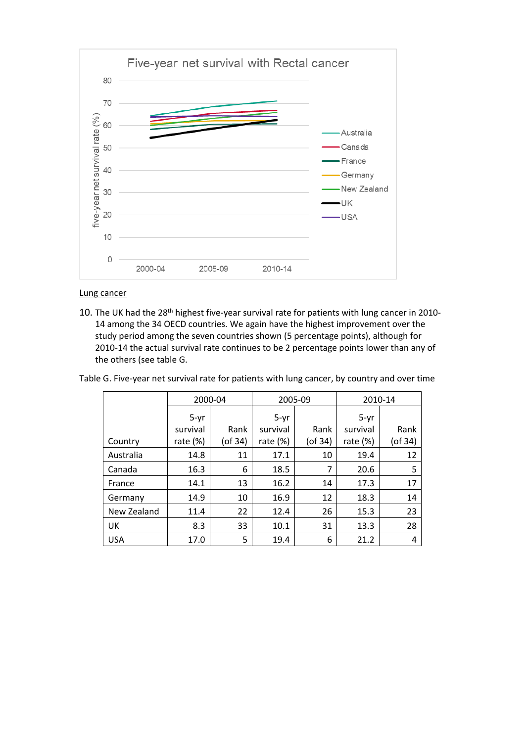

Lung cancer

10. The UK had the 28<sup>th</sup> highest five-year survival rate for patients with lung cancer in 2010-14 among the 34 OECD countries. We again have the highest improvement over the study period among the seven countries shown (5 percentage points), although for 2010-14 the actual survival rate continues to be 2 percentage points lower than any of the others (see table G.

| Table G. Five-year net survival rate for patients with lung cancer, by country and over time |  |
|----------------------------------------------------------------------------------------------|--|

|             | 2000-04     |         | 2005-09     |               | 2010-14     |         |
|-------------|-------------|---------|-------------|---------------|-------------|---------|
|             | $5-yr$      |         | $5-yr$      |               | $5-yr$      |         |
|             | survival    | Rank    | survival    | Rank          | survival    | Rank    |
| Country     | rate $(\%)$ | (of 34) | rate $(\%)$ | $($ of 34 $)$ | rate $(\%)$ | (of 34) |
| Australia   | 14.8        | 11      | 17.1        | 10            | 19.4        | 12      |
| Canada      | 16.3        | 6       | 18.5        | 7             | 20.6        | 5       |
| France      | 14.1        | 13      | 16.2        | 14            | 17.3        | 17      |
| Germany     | 14.9        | 10      | 16.9        | 12            | 18.3        | 14      |
| New Zealand | 11.4        | 22      | 12.4        | 26            | 15.3        | 23      |
| UK          | 8.3         | 33      | 10.1        | 31            | 13.3        | 28      |
| <b>USA</b>  | 17.0        | 5       | 19.4        | 6             | 21.2        | 4       |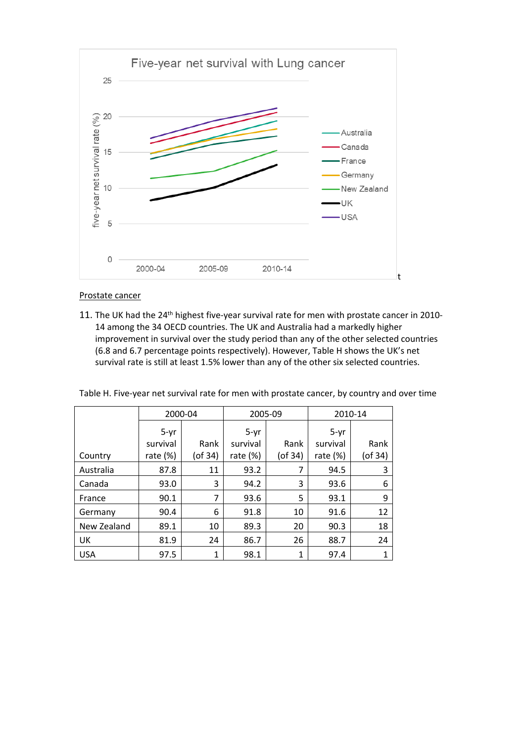

#### Prostate cancer

11. The UK had the 24<sup>th</sup> highest five-year survival rate for men with prostate cancer in 2010-14 among the 34 OECD countries. The UK and Australia had a markedly higher improvement in survival over the study period than any of the other selected countries (6.8 and 6.7 percentage points respectively). However, Table H shows the UK's net survival rate is still at least 1.5% lower than any of the other six selected countries.

|  | Table H. Five-year net survival rate for men with prostate cancer, by country and over time |
|--|---------------------------------------------------------------------------------------------|
|  |                                                                                             |

|             | 2000-04     |         | 2005-09    |               | 2010-14     |         |
|-------------|-------------|---------|------------|---------------|-------------|---------|
|             | $5-yr$      |         | $5-yr$     |               | $5-yr$      |         |
|             | survival    | Rank    | survival   | Rank          | survival    | Rank    |
| Country     | rate $(\%)$ | (of 34) | rate $(%)$ | $($ of 34 $)$ | rate $(\%)$ | (of 34) |
| Australia   | 87.8        | 11      | 93.2       | 7             | 94.5        | 3       |
| Canada      | 93.0        | 3       | 94.2       | 3             | 93.6        | 6       |
| France      | 90.1        | 7       | 93.6       | 5             | 93.1        | 9       |
| Germany     | 90.4        | 6       | 91.8       | 10            | 91.6        | 12      |
| New Zealand | 89.1        | 10      | 89.3       | 20            | 90.3        | 18      |
| UK          | 81.9        | 24      | 86.7       | 26            | 88.7        | 24      |
| <b>USA</b>  | 97.5        | 1       | 98.1       | 1             | 97.4        |         |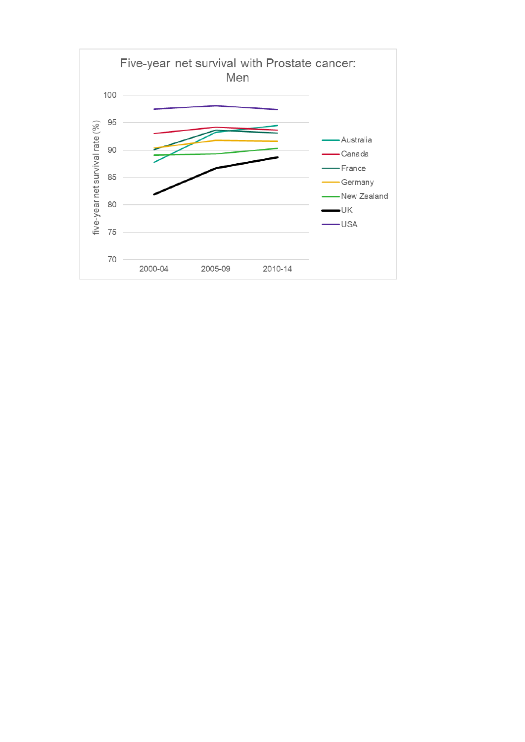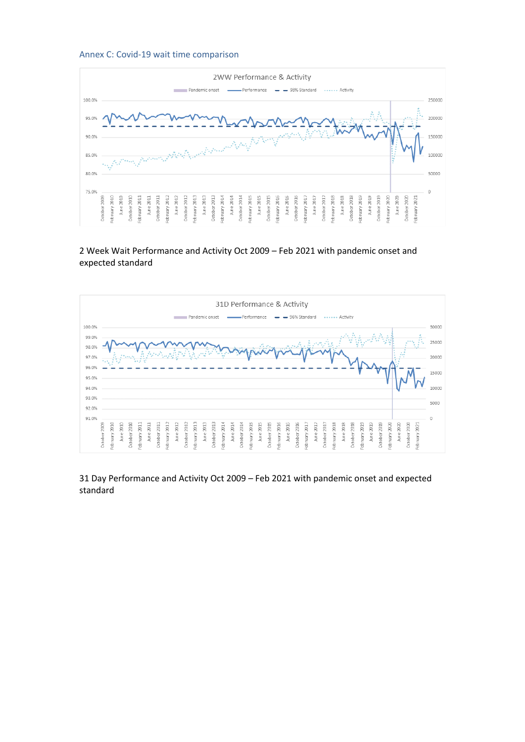#### <span id="page-28-0"></span>Annex C: Covid-19 wait time comparison



2 Week Wait Performance and Activity Oct 2009 – Feb 2021 with pandemic onset and expected standard



31 Day Performance and Activity Oct 2009 – Feb 2021 with pandemic onset and expected standard